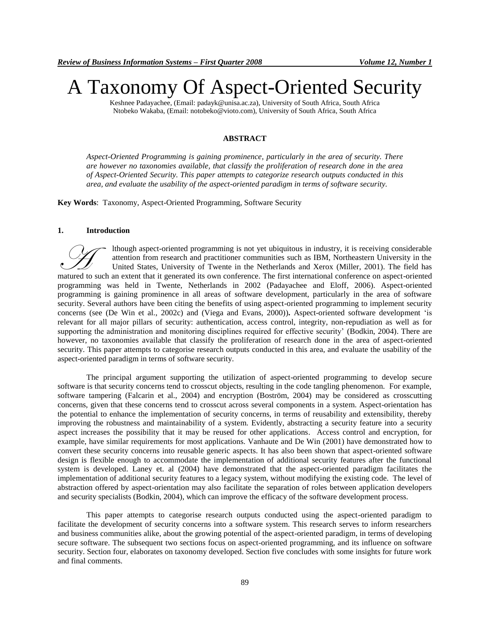# A Taxonomy Of Aspect-Oriented Security

Keshnee Padayachee, (Email: padayk@unisa.ac.za), University of South Africa, South Africa Ntobeko Wakaba, (Email: notobeko@vioto.com), University of South Africa, South Africa

## **ABSTRACT**

*Aspect-Oriented Programming is gaining prominence, particularly in the area of security. There are however no taxonomies available, that classify the proliferation of research done in the area of Aspect-Oriented Security. This paper attempts to categorize research outputs conducted in this area, and evaluate the usability of the aspect-oriented paradigm in terms of software security.*

**Key Words**: Taxonomy, Aspect-Oriented Programming, Software Security

#### **1. Introduction**

lthough aspect-oriented programming is not yet ubiquitous in industry, it is receiving considerable attention from research and practitioner communities such as IBM, Northeastern University in the United States, University of Twente in the Netherlands and Xerox (Miller, 2001). The field has Muscum an extent that it generated its own conference. The first international conference on aspect-oriented matured to such an extent that it generated its own conference. The first international conference on aspect-orie programming was held in Twente, Netherlands in 2002 (Padayachee and Eloff, 2006). Aspect-oriented programming is gaining prominence in all areas of software development, particularly in the area of software security. Several authors have been citing the benefits of using aspect-oriented programming to implement security concerns (see (De Win et al., 2002c) and (Viega and Evans, 2000))**.** Aspect-oriented software development ‗is relevant for all major pillars of security: authentication, access control, integrity, non-repudiation as well as for supporting the administration and monitoring disciplines required for effective security' (Bodkin, 2004). There are however, no taxonomies available that classify the proliferation of research done in the area of aspect-oriented security. This paper attempts to categorise research outputs conducted in this area, and evaluate the usability of the aspect-oriented paradigm in terms of software security*.*

The principal argument supporting the utilization of aspect-oriented programming to develop secure software is that security concerns tend to crosscut objects, resulting in the code tangling phenomenon. For example, software tampering (Falcarin et al., 2004) and encryption (Boström, 2004) may be considered as crosscutting concerns, given that these concerns tend to crosscut across several components in a system. Aspect-orientation has the potential to enhance the implementation of security concerns, in terms of reusability and extensibility, thereby improving the robustness and maintainability of a system. Evidently, abstracting a security feature into a security aspect increases the possibility that it may be reused for other applications. Access control and encryption, for example, have similar requirements for most applications. Vanhaute and De Win (2001) have demonstrated how to convert these security concerns into reusable generic aspects. It has also been shown that aspect-oriented software design is flexible enough to accommodate the implementation of additional security features after the functional system is developed. Laney et. al (2004) have demonstrated that the aspect-oriented paradigm facilitates the implementation of additional security features to a legacy system, without modifying the existing code. The level of abstraction offered by aspect-orientation may also facilitate the separation of roles between application developers and security specialists (Bodkin, 2004), which can improve the efficacy of the software development process.

This paper attempts to categorise research outputs conducted using the aspect-oriented paradigm to facilitate the development of security concerns into a software system. This research serves to inform researchers and business communities alike, about the growing potential of the aspect-oriented paradigm, in terms of developing secure software. The subsequent two sections focus on aspect-oriented programming, and its influence on software security. Section four, elaborates on taxonomy developed. Section five concludes with some insights for future work and final comments.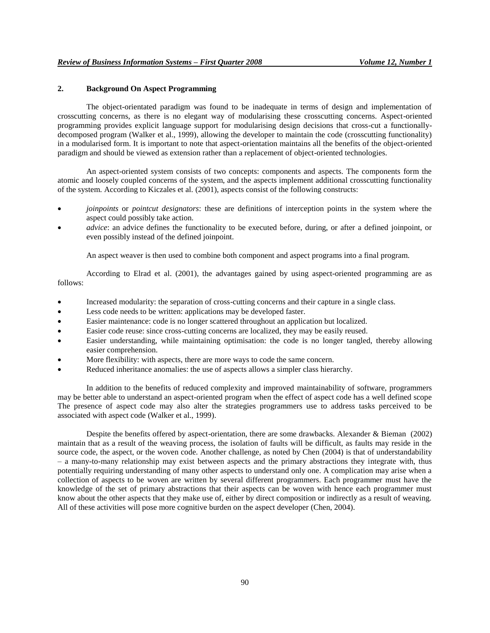## **2. Background On Aspect Programming**

The object-orientated paradigm was found to be inadequate in terms of design and implementation of crosscutting concerns, as there is no elegant way of modularising these crosscutting concerns. Aspect-oriented programming provides explicit language support for modularising design decisions that cross-cut a functionallydecomposed program (Walker et al., 1999), allowing the developer to maintain the code (crosscutting functionality) in a modularised form. It is important to note that aspect-orientation maintains all the benefits of the object-oriented paradigm and should be viewed as extension rather than a replacement of object-oriented technologies.

An aspect-oriented system consists of two concepts: components and aspects. The components form the atomic and loosely coupled concerns of the system, and the aspects implement additional crosscutting functionality of the system. According to Kiczales et al. (2001), aspects consist of the following constructs:

- *joinpoints* or *pointcut designators*: these are definitions of interception points in the system where the aspect could possibly take action.
- *advice*: an advice defines the functionality to be executed before, during, or after a defined joinpoint, or even possibly instead of the defined joinpoint.

An aspect weaver is then used to combine both component and aspect programs into a final program.

According to Elrad et al. (2001), the advantages gained by using aspect-oriented programming are as follows:

- Increased modularity: the separation of cross-cutting concerns and their capture in a single class.
- Less code needs to be written: applications may be developed faster.
- Easier maintenance: code is no longer scattered throughout an application but localized.
- Easier code reuse: since cross-cutting concerns are localized, they may be easily reused.
- Easier understanding, while maintaining optimisation: the code is no longer tangled, thereby allowing easier comprehension.
- More flexibility: with aspects, there are more ways to code the same concern.
- Reduced inheritance anomalies: the use of aspects allows a simpler class hierarchy.

In addition to the benefits of reduced complexity and improved maintainability of software, programmers may be better able to understand an aspect-oriented program when the effect of aspect code has a well defined scope The presence of aspect code may also alter the strategies programmers use to address tasks perceived to be associated with aspect code (Walker et al., 1999).

Despite the benefits offered by aspect-orientation, there are some drawbacks. Alexander & Bieman (2002) maintain that as a result of the weaving process, the isolation of faults will be difficult, as faults may reside in the source code, the aspect, or the woven code. Another challenge, as noted by Chen (2004) is that of understandability – a many-to-many relationship may exist between aspects and the primary abstractions they integrate with, thus potentially requiring understanding of many other aspects to understand only one. A complication may arise when a collection of aspects to be woven are written by several different programmers. Each programmer must have the knowledge of the set of primary abstractions that their aspects can be woven with hence each programmer must know about the other aspects that they make use of, either by direct composition or indirectly as a result of weaving. All of these activities will pose more cognitive burden on the aspect developer (Chen, 2004).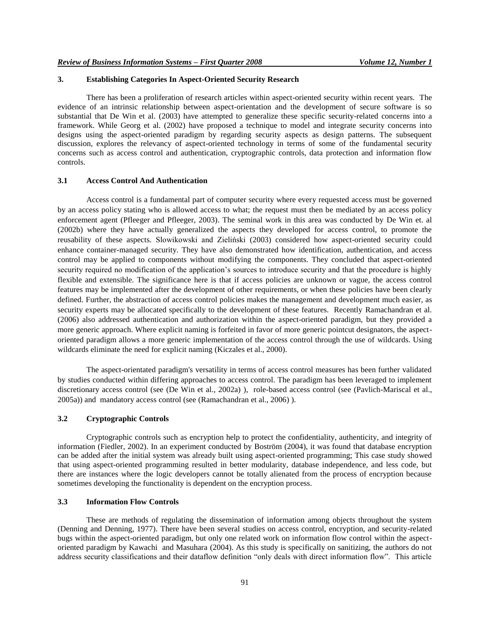# **3. Establishing Categories In Aspect-Oriented Security Research**

There has been a proliferation of research articles within aspect-oriented security within recent years. The evidence of an intrinsic relationship between aspect-orientation and the development of secure software is so substantial that De Win et al. (2003) have attempted to generalize these specific security-related concerns into a framework. While Georg et al. (2002) have proposed a technique to model and integrate security concerns into designs using the aspect-oriented paradigm by regarding security aspects as design patterns. The subsequent discussion, explores the relevancy of aspect-oriented technology in terms of some of the fundamental security concerns such as access control and authentication, cryptographic controls, data protection and information flow controls.

# **3.1 Access Control And Authentication**

Access control is a fundamental part of computer security where every requested access must be governed by an access policy stating who is allowed access to what; the request must then be mediated by an access policy enforcement agent (Pfleeger and Pfleeger, 2003). The seminal work in this area was conducted by De Win et. al (2002b) where they have actually generalized the aspects they developed for access control, to promote the reusability of these aspects. Slowikowski and Zieliński (2003) considered how aspect-oriented security could enhance container-managed security. They have also demonstrated how identification, authentication, and access control may be applied to components without modifying the components. They concluded that aspect-oriented security required no modification of the application's sources to introduce security and that the procedure is highly flexible and extensible. The significance here is that if access policies are unknown or vague, the access control features may be implemented after the development of other requirements, or when these policies have been clearly defined. Further, the abstraction of access control policies makes the management and development much easier, as security experts may be allocated specifically to the development of these features. Recently Ramachandran et al. (2006) also addressed authentication and authorization within the aspect-oriented paradigm, but they provided a more generic approach. Where explicit naming is forfeited in favor of more generic pointcut designators, the aspectoriented paradigm allows a more generic implementation of the access control through the use of wildcards. Using wildcards eliminate the need for explicit naming (Kiczales et al., 2000).

The aspect-orientated paradigm's versatility in terms of access control measures has been further validated by studies conducted within differing approaches to access control. The paradigm has been leveraged to implement discretionary access control (see (De Win et al., 2002a) ), role-based access control (see (Pavlich-Mariscal et al., 2005a)) and mandatory access control (see (Ramachandran et al., 2006) ).

# **3.2 Cryptographic Controls**

Cryptographic controls such as encryption help to protect the confidentiality, authenticity, and integrity of information (Fiedler, 2002). In an experiment conducted by Boström (2004), it was found that database encryption can be added after the initial system was already built using aspect-oriented programming; This case study showed that using aspect-oriented programming resulted in better modularity, database independence, and less code, but there are instances where the logic developers cannot be totally alienated from the process of encryption because sometimes developing the functionality is dependent on the encryption process.

# **3.3 Information Flow Controls**

These are methods of regulating the dissemination of information among objects throughout the system (Denning and Denning, 1977). There have been several studies on access control, encryption, and security-related bugs within the aspect-oriented paradigm, but only one related work on information flow control within the aspectoriented paradigm by Kawachi and Masuhara (2004). As this study is specifically on sanitizing, the authors do not address security classifications and their dataflow definition "only deals with direct information flow". This article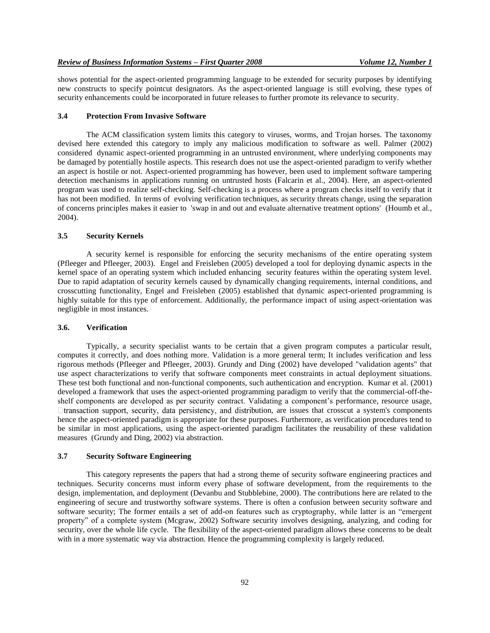shows potential for the aspect-oriented programming language to be extended for security purposes by identifying new constructs to specify pointcut designators. As the aspect-oriented language is still evolving, these types of security enhancements could be incorporated in future releases to further promote its relevance to security.

#### **3.4 Protection From Invasive Software**

The ACM classification system limits this category to viruses, worms, and Trojan horses. The taxonomy devised here extended this category to imply any malicious modification to software as well. Palmer (2002) considered dynamic aspect-oriented programming in an untrusted environment, where underlying components may be damaged by potentially hostile aspects. This research does not use the aspect-oriented paradigm to verify whether an aspect is hostile or not. Aspect-oriented programming has however, been used to implement software tampering detection mechanisms in applications running on untrusted hosts (Falcarin et al., 2004). Here, an aspect-oriented program was used to realize self-checking. Self-checking is a process where a program checks itself to verify that it has not been modified. In terms of evolving verification techniques, as security threats change, using the separation of concerns principles makes it easier to 'swap in and out and evaluate alternative treatment options' (Houmb et al., 2004).

# **3.5 Security Kernels**

A security kernel is responsible for enforcing the security mechanisms of the entire operating system (Pfleeger and Pfleeger, 2003). Engel and Freisleben (2005) developed a tool for deploying dynamic aspects in the kernel space of an operating system which included enhancing security features within the operating system level. Due to rapid adaptation of security kernels caused by dynamically changing requirements, internal conditions, and crosscutting functionality, Engel and Freisleben (2005) established that dynamic aspect-oriented programming is highly suitable for this type of enforcement. Additionally, the performance impact of using aspect-orientation was negligible in most instances.

#### **3.6. Verification**

Typically, a security specialist wants to be certain that a given program computes a particular result, computes it correctly, and does nothing more. Validation is a more general term; It includes verification and less rigorous methods (Pfleeger and Pfleeger, 2003). Grundy and Ding (2002) have developed "validation agents" that use aspect characterizations to verify that software components meet constraints in actual deployment situations. These test both functional and non-functional components, such authentication and encryption. Kumar et al. (2001) developed a framework that uses the aspect-oriented programming paradigm to verify that the commercial-off-theshelf components are developed as per security contract. Validating a component's performance, resource usage,  $\Box$ transaction support, security, data persistency, and distribution, are issues that crosscut a system's components hence the aspect-oriented paradigm is appropriate for these purposes. Furthermore, as verification procedures tend to be similar in most applications, using the aspect-oriented paradigm facilitates the reusability of these validation measures (Grundy and Ding, 2002) via abstraction.

## **3.7 Security Software Engineering**

This category represents the papers that had a strong theme of security software engineering practices and techniques. Security concerns must inform every phase of software development, from the requirements to the design, implementation, and deployment (Devanbu and Stubblebine, 2000). The contributions here are related to the engineering of secure and trustworthy software systems. There is often a confusion between security software and software security; The former entails a set of add-on features such as cryptography, while latter is an "emergent property" of a complete system (Mcgraw, 2002) Software security involves designing, analyzing, and coding for security, over the whole life cycle. The flexibility of the aspect-oriented paradigm allows these concerns to be dealt with in a more systematic way via abstraction. Hence the programming complexity is largely reduced.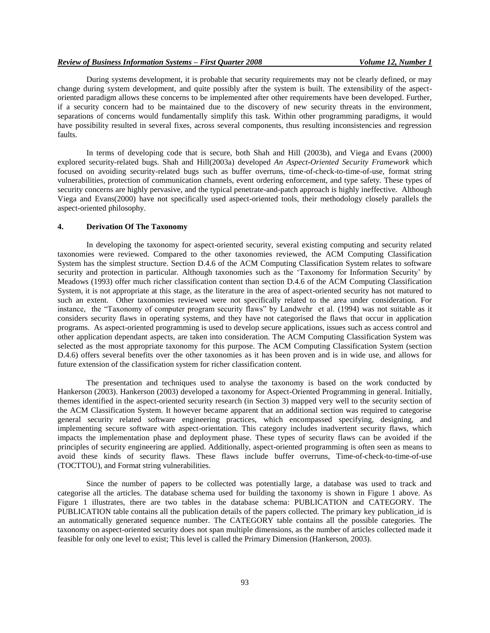During systems development, it is probable that security requirements may not be clearly defined, or may change during system development, and quite possibly after the system is built. The extensibility of the aspectoriented paradigm allows these concerns to be implemented after other requirements have been developed. Further, if a security concern had to be maintained due to the discovery of new security threats in the environment, separations of concerns would fundamentally simplify this task. Within other programming paradigms, it would have possibility resulted in several fixes, across several components, thus resulting inconsistencies and regression faults.

In terms of developing code that is secure, both Shah and Hill (2003b), and Viega and Evans (2000) explored security-related bugs. Shah and Hill(2003a) developed *An Aspect-Oriented Security Framework* which focused on avoiding security-related bugs such as buffer overruns, time-of-check-to-time-of-use, format string vulnerabilities, protection of communication channels, event ordering enforcement, and type safety. These types of security concerns are highly pervasive, and the typical penetrate-and-patch approach is highly ineffective. Although Viega and Evans(2000) have not specifically used aspect-oriented tools, their methodology closely parallels the aspect-oriented philosophy.

#### **4. Derivation Of The Taxonomy**

In developing the taxonomy for aspect-oriented security, several existing computing and security related taxonomies were reviewed. Compared to the other taxonomies reviewed, the ACM Computing Classification System has the simplest structure. Section D.4.6 of the ACM Computing Classification System relates to software security and protection in particular. Although taxonomies such as the 'Taxonomy for Information Security' by Meadows (1993) offer much richer classification content than section D.4.6 of the ACM Computing Classification System, it is not appropriate at this stage, as the literature in the area of aspect-oriented security has not matured to such an extent. Other taxonomies reviewed were not specifically related to the area under consideration. For instance, the "Taxonomy of computer program security flaws" by Landwehr et al. (1994) was not suitable as it considers security flaws in operating systems, and they have not categorised the flaws that occur in application programs. As aspect-oriented programming is used to develop secure applications, issues such as access control and other application dependant aspects, are taken into consideration. The ACM Computing Classification System was selected as the most appropriate taxonomy for this purpose. The ACM Computing Classification System (section D.4.6) offers several benefits over the other taxonomies as it has been proven and is in wide use, and allows for future extension of the classification system for richer classification content.

The presentation and techniques used to analyse the taxonomy is based on the work conducted by Hankerson (2003). Hankerson (2003) developed a taxonomy for Aspect-Oriented Programming in general. Initially, themes identified in the aspect-oriented security research (in Section 3) mapped very well to the security section of the ACM Classification System. It however became apparent that an additional section was required to categorise general security related software engineering practices, which encompassed specifying, designing, and implementing secure software with aspect-orientation. This category includes inadvertent security flaws, which impacts the implementation phase and deployment phase. These types of security flaws can be avoided if the principles of security engineering are applied. Additionally, aspect-oriented programming is often seen as means to avoid these kinds of security flaws. These flaws include buffer overruns, Time-of-check-to-time-of-use (TOCTTOU), and Format string vulnerabilities.

Since the number of papers to be collected was potentially large, a database was used to track and categorise all the articles. The database schema used for building the taxonomy is shown in Figure 1 above. As Figure 1 illustrates, there are two tables in the database schema: PUBLICATION and CATEGORY. The PUBLICATION table contains all the publication details of the papers collected. The primary key publication\_id is an automatically generated sequence number. The CATEGORY table contains all the possible categories. The taxonomy on aspect-oriented security does not span multiple dimensions, as the number of articles collected made it feasible for only one level to exist; This level is called the Primary Dimension (Hankerson, 2003).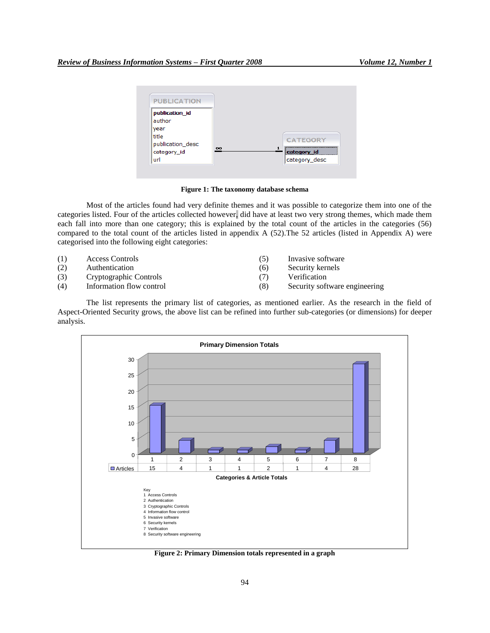

**Figure 1: The taxonomy database schema**

Most of the articles found had very definite themes and it was possible to categorize them into one of the categories listed. Four of the articles collected however, did have at least two very strong themes, which made them each fall into more than one category; this is explained by the total count of the articles in the categories (56) compared to the total count of the articles listed in appendix A (52).The 52 articles (listed in Appendix A) were categorised into the following eight categories:

- (1) Access Controls (5) Invasive software
- (2) Authentication (6) Security kernels
- (3) Cryptographic Controls (7) Verification
- 
- 
- 
- 
- (4) Information flow control (8) Security software engineering

The list represents the primary list of categories, as mentioned earlier. As the research in the field of Aspect-Oriented Security grows, the above list can be refined into further sub-categories (or dimensions) for deeper analysis.



**Figure 2: Primary Dimension totals represented in a graph**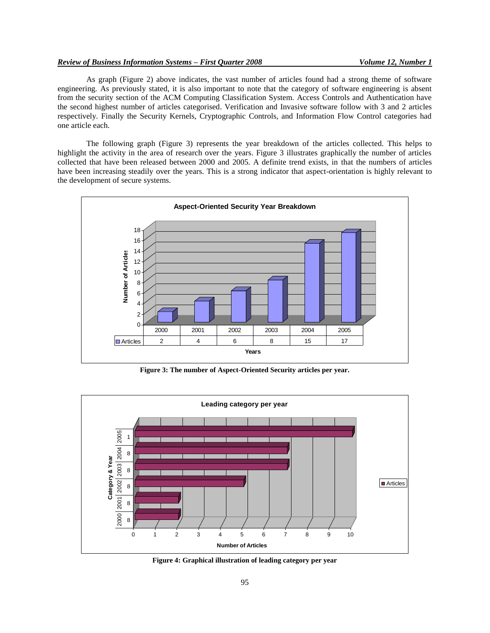## *Review of Business Information Systems – First Quarter 2008 Volume 12, Number 1*

As graph (Figure 2) above indicates, the vast number of articles found had a strong theme of software engineering. As previously stated, it is also important to note that the category of software engineering is absent from the security section of the ACM Computing Classification System. Access Controls and Authentication have the second highest number of articles categorised. Verification and Invasive software follow with 3 and 2 articles respectively. Finally the Security Kernels, Cryptographic Controls, and Information Flow Control categories had one article each.

The following graph (Figure 3) represents the year breakdown of the articles collected. This helps to highlight the activity in the area of research over the years. Figure 3 illustrates graphically the number of articles collected that have been released between 2000 and 2005. A definite trend exists, in that the numbers of articles have been increasing steadily over the years. This is a strong indicator that aspect-orientation is highly relevant to the development of secure systems.



**Figure 3: The number of Aspect-Oriented Security articles per year.**



**Figure 4: Graphical illustration of leading category per year**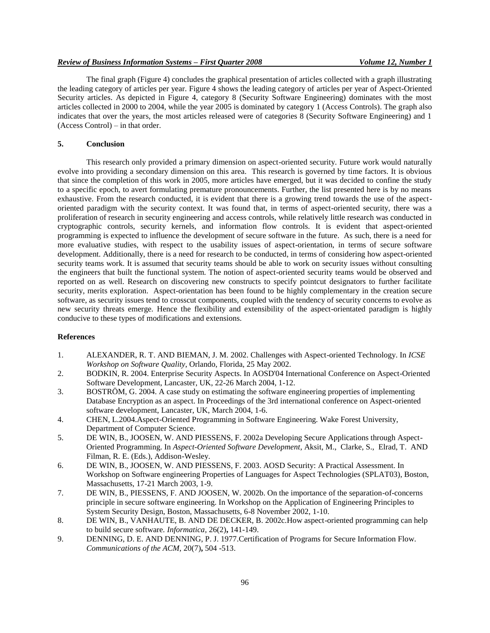## *Review of Business Information Systems – First Quarter 2008 Volume 12, Number 1*

The final graph (Figure 4) concludes the graphical presentation of articles collected with a graph illustrating the leading category of articles per year. Figure 4 shows the leading category of articles per year of Aspect-Oriented Security articles. As depicted in Figure 4, category 8 (Security Software Engineering) dominates with the most articles collected in 2000 to 2004, while the year 2005 is dominated by category 1 (Access Controls). The graph also indicates that over the years, the most articles released were of categories 8 (Security Software Engineering) and 1 (Access Control) – in that order.

# **5. Conclusion**

This research only provided a primary dimension on aspect-oriented security. Future work would naturally evolve into providing a secondary dimension on this area. This research is governed by time factors. It is obvious that since the completion of this work in 2005, more articles have emerged, but it was decided to confine the study to a specific epoch, to avert formulating premature pronouncements. Further, the list presented here is by no means exhaustive. From the research conducted, it is evident that there is a growing trend towards the use of the aspectoriented paradigm with the security context. It was found that, in terms of aspect-oriented security, there was a proliferation of research in security engineering and access controls, while relatively little research was conducted in cryptographic controls, security kernels, and information flow controls. It is evident that aspect-oriented programming is expected to influence the development of secure software in the future. As such, there is a need for more evaluative studies, with respect to the usability issues of aspect-orientation, in terms of secure software development. Additionally, there is a need for research to be conducted, in terms of considering how aspect-oriented security teams work. It is assumed that security teams should be able to work on security issues without consulting the engineers that built the functional system. The notion of aspect-oriented security teams would be observed and reported on as well. Research on discovering new constructs to specify pointcut designators to further facilitate security, merits exploration. Aspect-orientation has been found to be highly complementary in the creation secure software, as security issues tend to crosscut components, coupled with the tendency of security concerns to evolve as new security threats emerge. Hence the flexibility and extensibility of the aspect-orientated paradigm is highly conducive to these types of modifications and extensions.

#### **References**

- 1. ALEXANDER, R. T. AND BIEMAN, J. M. 2002. Challenges with Aspect-oriented Technology. In *ICSE Workshop on Software Quality*, Orlando, Florida, 25 May 2002.
- 2. BODKIN, R. 2004. Enterprise Security Aspects. In AOSD'04 International Conference on Aspect-Oriented Software Development, Lancaster, UK, 22-26 March 2004, 1-12.
- 3. BOSTRÖM, G. 2004. A case study on estimating the software engineering properties of implementing Database Encryption as an aspect. In Proceedings of the 3rd international conference on Aspect-oriented software development, Lancaster, UK, March 2004, 1-6.
- 4. CHEN, L.2004.Aspect-Oriented Programming in Software Engineering. Wake Forest University, Department of Computer Science.
- 5. DE WIN, B., JOOSEN, W. AND PIESSENS, F. 2002a Developing Secure Applications through Aspect-Oriented Programming. In *Aspect-Oriented Software Development*, Aksit, M., Clarke, S., Elrad, T. AND Filman, R. E. (Eds.), Addison-Wesley.
- 6. DE WIN, B., JOOSEN, W. AND PIESSENS, F. 2003. AOSD Security: A Practical Assessment. In Workshop on Software engineering Properties of Languages for Aspect Technologies (SPLAT03), Boston, Massachusetts, 17-21 March 2003, 1-9.
- 7. DE WIN, B., PIESSENS, F. AND JOOSEN, W. 2002b. On the importance of the separation-of-concerns principle in secure software engineering. In Workshop on the Application of Engineering Principles to System Security Design, Boston, Massachusetts, 6-8 November 2002, 1-10.
- 8. DE WIN, B., VANHAUTE, B. AND DE DECKER, B. 2002c.How aspect-oriented programming can help to build secure software. *Informatica,* 26(2)**,** 141-149.
- 9. DENNING, D. E. AND DENNING, P. J. 1977.Certification of Programs for Secure Information Flow. *Communications of the ACM,* 20(7)**,** 504 -513.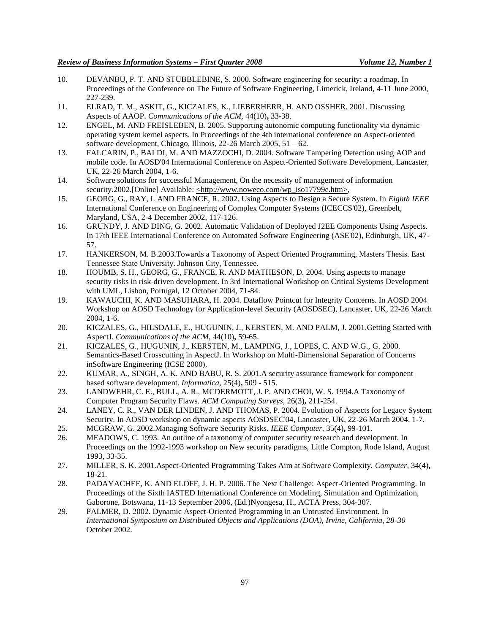- 10. DEVANBU, P. T. AND STUBBLEBINE, S. 2000. Software engineering for security: a roadmap. In Proceedings of the Conference on The Future of Software Engineering, Limerick, Ireland, 4-11 June 2000, 227-239.
- 11. ELRAD, T. M., ASKIT, G., KICZALES, K., LIEBERHERR, H. AND OSSHER. 2001. Discussing Aspects of AAOP. *Communications of the ACM,* 44(10)**,** 33-38.
- 12. ENGEL, M. AND FREISLEBEN, B. 2005. Supporting autonomic computing functionality via dynamic operating system kernel aspects. In Proceedings of the 4th international conference on Aspect-oriented software development, Chicago, Illinois, 22-26 March 2005, 51 – 62.
- 13. FALCARIN, P., BALDI, M. AND MAZZOCHI, D. 2004. Software Tampering Detection using AOP and mobile code. In AOSD'04 International Conference on Aspect-Oriented Software Development, Lancaster, UK, 22-26 March 2004, 1-6.
- 14. Software solutions for successful Management, On the necessity of management of information security.2002.[Online] Available: <http://www.noweco.com/wp\_iso17799e.htm>,
- 15. GEORG, G., RAY, I. AND FRANCE, R. 2002. Using Aspects to Design a Secure System. In *Eighth IEEE*  International Conference on Engineering of Complex Computer Systems (ICECCS'02), Greenbelt, Maryland, USA, 2-4 December 2002, 117-126.
- 16. GRUNDY, J. AND DING, G. 2002. Automatic Validation of Deployed J2EE Components Using Aspects. In 17th IEEE International Conference on Automated Software Engineering (ASE'02), Edinburgh, UK, 47- 57.
- 17. HANKERSON, M. B.2003.Towards a Taxonomy of Aspect Oriented Programming, Masters Thesis. East Tennessee State University. Johnson City, Tennessee.
- 18. HOUMB, S. H., GEORG, G., FRANCE, R. AND MATHESON, D. 2004. Using aspects to manage security risks in risk-driven development. In 3rd International Workshop on Critical Systems Development with UML, Lisbon, Portugal, 12 October 2004, 71-84.
- 19. KAWAUCHI, K. AND MASUHARA, H. 2004. Dataflow Pointcut for Integrity Concerns. In AOSD 2004 Workshop on AOSD Technology for Application-level Security (AOSDSEC), Lancaster, UK, 22-26 March 2004, 1-6.
- 20. KICZALES, G., HILSDALE, E., HUGUNIN, J., KERSTEN, M. AND PALM, J. 2001.Getting Started with AspectJ. *Communications of the ACM,* 44(10)**,** 59-65.
- 21. KICZALES, G., HUGUNIN, J., KERSTEN, M., LAMPING, J., LOPES, C. AND W.G., G. 2000. Semantics-Based Crosscutting in AspectJ. In Workshop on Multi-Dimensional Separation of Concerns inSoftware Engineering (ICSE 2000).
- 22. KUMAR, A., SINGH, A. K. AND BABU, R. S. 2001.A security assurance framework for component based software development. *Informatica,* 25(4)**,** 509 - 515.
- 23. LANDWEHR, C. E., BULL, A. R., MCDERMOTT, J. P. AND CHOI, W. S. 1994.A Taxonomy of Computer Program Security Flaws. *ACM Computing Surveys,* 26(3)**,** 211-254.
- 24. LANEY, C. R., VAN DER LINDEN, J. AND THOMAS, P. 2004. Evolution of Aspects for Legacy System Security. In AOSD workshop on dynamic aspects AOSDSEC'04, Lancaster, UK, 22-26 March 2004. 1-7.
- 25. MCGRAW, G. 2002.Managing Software Security Risks. *IEEE Computer,* 35(4)**,** 99-101.
- 26. MEADOWS, C. 1993. An outline of a taxonomy of computer security research and development. In Proceedings on the 1992-1993 workshop on New security paradigms, Little Compton, Rode Island, August 1993, 33-35.
- 27. MILLER, S. K. 2001.Aspect-Oriented Programming Takes Aim at Software Complexity. *Computer,* 34(4)**,** 18-21.
- 28. PADAYACHEE, K. AND ELOFF, J. H. P. 2006. The Next Challenge: Aspect-Oriented Programming. In Proceedings of the Sixth IASTED International Conference on Modeling, Simulation and Optimization, Gaborone, Botswana, 11-13 September 2006, (Ed.)Nyongesa, H., ACTA Press, 304-307.
- 29. PALMER, D. 2002. Dynamic Aspect-Oriented Programming in an Untrusted Environment. In *International Symposium on Distributed Objects and Applications (DOA), Irvine, California, 28-30* October 2002.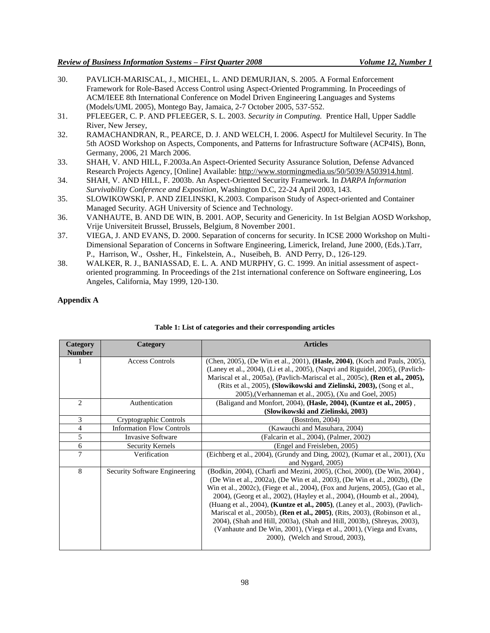- 30. PAVLICH-MARISCAL, J., MICHEL, L. AND DEMURJIAN, S. 2005. A Formal Enforcement Framework for Role-Based Access Control using Aspect-Oriented Programming. In Proceedings of ACM/IEEE 8th International Conference on Model Driven Engineering Languages and Systems (Models/UML 2005), Montego Bay, Jamaica, 2-7 October 2005, 537-552.
- 31. PFLEEGER, C. P. AND PFLEEGER, S. L. 2003. *Security in Computing.* Prentice Hall, Upper Saddle River, New Jersey,
- 32. RAMACHANDRAN, R., PEARCE, D. J. AND WELCH, I. 2006. AspectJ for Multilevel Security. In The 5th AOSD Workshop on Aspects, Components, and Patterns for Infrastructure Software (ACP4IS), Bonn, Germany, 2006, 21 March 2006.
- 33. SHAH, V. AND HILL, F.2003a.An Aspect-Oriented Security Assurance Solution, Defense Advanced Research Projects Agency, [Online] Available: http://www.stormingmedia.us/50/5039/A503914.html.
- 34. SHAH, V. AND HILL, F. 2003b. An Aspect-Oriented Security Framework. In *DARPA Information Survivability Conference and Exposition*, Washington D.C, 22-24 April 2003, 143.
- 35. SLOWIKOWSKI, P. AND ZIELINSKI, K.2003. Comparison Study of Aspect-oriented and Container Managed Security. AGH University of Science and Technology.
- 36. VANHAUTE, B. AND DE WIN, B. 2001. AOP, Security and Genericity. In 1st Belgian AOSD Workshop, Vrije Universiteit Brussel, Brussels, Belgium, 8 November 2001.
- 37. VIEGA, J. AND EVANS, D. 2000. Separation of concerns for security. In ICSE 2000 Workshop on Multi-Dimensional Separation of Concerns in Software Engineering, Limerick, Ireland, June 2000, (Eds.).Tarr, P., Harrison, W., Ossher, H., Finkelstein, A., Nuseibeh, B. AND Perry, D., 126-129.
- 38. WALKER, R. J., BANIASSAD, E. L. A. AND MURPHY, G. C. 1999. An initial assessment of aspectoriented programming. In Proceedings of the 21st international conference on Software engineering, Los Angeles, California, May 1999, 120-130.

## **Appendix A**

| Category<br><b>Number</b> | Category                         | <b>Articles</b>                                                                                                                                                                                                                                                                                                                                                                                                                                                                                                                                                                                                                                                                                 |
|---------------------------|----------------------------------|-------------------------------------------------------------------------------------------------------------------------------------------------------------------------------------------------------------------------------------------------------------------------------------------------------------------------------------------------------------------------------------------------------------------------------------------------------------------------------------------------------------------------------------------------------------------------------------------------------------------------------------------------------------------------------------------------|
|                           | Access Controls                  | (Chen, 2005), (De Win et al., 2001), (Hasle, 2004), (Koch and Pauls, 2005),<br>(Laney et al., 2004), (Li et al., 2005), (Nagvi and Riguidel, 2005), (Pavlich-<br>Mariscal et al., 2005a), (Pavlich-Mariscal et al., 2005c), ( <b>Ren et al., 2005</b> ),<br>(Rits et al., 2005), (Slowikowski and Zielinski, 2003), (Song et al.,<br>2005), (Verhanneman et al., 2005), (Xu and Goel, 2005)                                                                                                                                                                                                                                                                                                     |
| $\overline{2}$            | Authentication                   | (Baligand and Monfort, 2004), (Hasle, 2004), (Kuntze et al., 2005),<br>(Slowikowski and Zielinski, 2003)                                                                                                                                                                                                                                                                                                                                                                                                                                                                                                                                                                                        |
| 3                         | Cryptographic Controls           | (Boström, 2004)                                                                                                                                                                                                                                                                                                                                                                                                                                                                                                                                                                                                                                                                                 |
| $\overline{4}$            | <b>Information Flow Controls</b> | (Kawauchi and Masuhara, 2004)                                                                                                                                                                                                                                                                                                                                                                                                                                                                                                                                                                                                                                                                   |
| 5                         | Invasive Software                | (Falcarin et al., 2004), (Palmer, 2002)                                                                                                                                                                                                                                                                                                                                                                                                                                                                                                                                                                                                                                                         |
| 6                         | Security Kernels                 | (Engel and Freisleben, 2005)                                                                                                                                                                                                                                                                                                                                                                                                                                                                                                                                                                                                                                                                    |
| 7                         | Verification                     | (Eichberg et al., 2004), (Grundy and Ding, 2002), (Kumar et al., 2001), (Xu<br>and Nygard, 2005)                                                                                                                                                                                                                                                                                                                                                                                                                                                                                                                                                                                                |
| 8                         | Security Software Engineering    | (Bodkin, 2004), (Charfi and Mezini, 2005), (Choi, 2000), (De Win, 2004),<br>(De Win et al., 2002a), (De Win et al., 2003), (De Win et al., 2002b), (De<br>Win et al., 2002c), (Fiege et al., 2004), (Fox and Jurjens, 2005), (Gao et al.,<br>2004), (Georg et al., 2002), (Hayley et al., 2004), (Houmb et al., 2004),<br>(Huang et al., 2004), ( <b>Kuntze et al., 2005</b> ), (Laney et al., 2003), (Pavlich-<br>Mariscal et al., 2005b), ( <b>Ren et al., 2005</b> ), (Rits, 2003), (Robinson et al.,<br>2004), (Shah and Hill, 2003a), (Shah and Hill, 2003b), (Shreyas, 2003),<br>(Vanhaute and De Win, 2001), (Viega et al., 2001), (Viega and Evans,<br>2000), (Welch and Stroud, 2003), |

## **Table 1: List of categories and their corresponding articles**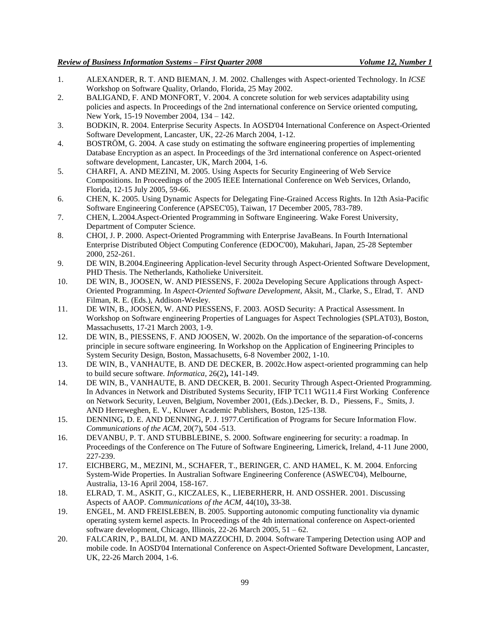- 1. ALEXANDER, R. T. AND BIEMAN, J. M. 2002. Challenges with Aspect-oriented Technology. In *ICSE*  Workshop on Software Quality, Orlando, Florida, 25 May 2002.
- 2. BALIGAND, F. AND MONFORT, V. 2004. A concrete solution for web services adaptability using policies and aspects. In Proceedings of the 2nd international conference on Service oriented computing, New York, 15-19 November 2004, 134 – 142.
- 3. BODKIN, R. 2004. Enterprise Security Aspects. In AOSD'04 International Conference on Aspect-Oriented Software Development, Lancaster, UK, 22-26 March 2004, 1-12.
- 4. BOSTRÖM, G. 2004. A case study on estimating the software engineering properties of implementing Database Encryption as an aspect. In Proceedings of the 3rd international conference on Aspect-oriented software development, Lancaster, UK, March 2004, 1-6.
- 5. CHARFI, A. AND MEZINI, M. 2005. Using Aspects for Security Engineering of Web Service Compositions. In Proceedings of the 2005 IEEE International Conference on Web Services, Orlando, Florida, 12-15 July 2005, 59-66.
- 6. CHEN, K. 2005. Using Dynamic Aspects for Delegating Fine-Grained Access Rights. In 12th Asia-Pacific Software Engineering Conference (APSEC'05), Taiwan, 17 December 2005, 783-789.
- 7. CHEN, L.2004.Aspect-Oriented Programming in Software Engineering. Wake Forest University, Department of Computer Science.
- 8. CHOI, J. P. 2000. Aspect-Oriented Programming with Enterprise JavaBeans. In Fourth International Enterprise Distributed Object Computing Conference (EDOC'00), Makuhari, Japan, 25-28 September 2000, 252-261.
- 9. DE WIN, B.2004.Engineering Application-level Security through Aspect-Oriented Software Development, PHD Thesis. The Netherlands, Katholieke Universiteit.
- 10. DE WIN, B., JOOSEN, W. AND PIESSENS, F. 2002a Developing Secure Applications through Aspect-Oriented Programming. In *Aspect-Oriented Software Development*, Aksit, M., Clarke, S., Elrad, T. AND Filman, R. E. (Eds.), Addison-Wesley.
- 11. DE WIN, B., JOOSEN, W. AND PIESSENS, F. 2003. AOSD Security: A Practical Assessment. In Workshop on Software engineering Properties of Languages for Aspect Technologies (SPLAT03), Boston, Massachusetts, 17-21 March 2003, 1-9.
- 12. DE WIN, B., PIESSENS, F. AND JOOSEN, W. 2002b. On the importance of the separation-of-concerns principle in secure software engineering. In Workshop on the Application of Engineering Principles to System Security Design, Boston, Massachusetts, 6-8 November 2002, 1-10.
- 13. DE WIN, B., VANHAUTE, B. AND DE DECKER, B. 2002c.How aspect-oriented programming can help to build secure software. *Informatica,* 26(2)**,** 141-149.
- 14. DE WIN, B., VANHAUTE, B. AND DECKER, B. 2001. Security Through Aspect-Oriented Programming. In Advances in Network and Distributed Systems Security, IFIP TC11 WG11.4 First Working Conference on Network Security, Leuven, Belgium, November 2001, (Eds.).Decker, B. D., Piessens, F., Smits, J. AND Herreweghen, E. V., Kluwer Academic Publishers, Boston, 125-138.
- 15. DENNING, D. E. AND DENNING, P. J. 1977.Certification of Programs for Secure Information Flow. *Communications of the ACM,* 20(7)**,** 504 -513.
- 16. DEVANBU, P. T. AND STUBBLEBINE, S. 2000. Software engineering for security: a roadmap. In Proceedings of the Conference on The Future of Software Engineering, Limerick, Ireland, 4-11 June 2000, 227-239.
- 17. EICHBERG, M., MEZINI, M., SCHAFER, T., BERINGER, C. AND HAMEL, K. M. 2004. Enforcing System-Wide Properties. In Australian Software Engineering Conference (ASWEC'04), Melbourne, Australia, 13-16 April 2004, 158-167.
- 18. ELRAD, T. M., ASKIT, G., KICZALES, K., LIEBERHERR, H. AND OSSHER. 2001. Discussing Aspects of AAOP. *Communications of the ACM,* 44(10)**,** 33-38.
- 19. ENGEL, M. AND FREISLEBEN, B. 2005. Supporting autonomic computing functionality via dynamic operating system kernel aspects. In Proceedings of the 4th international conference on Aspect-oriented software development, Chicago, Illinois,  $22-26$  March  $2005$ ,  $51-62$ .
- 20. FALCARIN, P., BALDI, M. AND MAZZOCHI, D. 2004. Software Tampering Detection using AOP and mobile code. In AOSD'04 International Conference on Aspect-Oriented Software Development, Lancaster, UK, 22-26 March 2004, 1-6.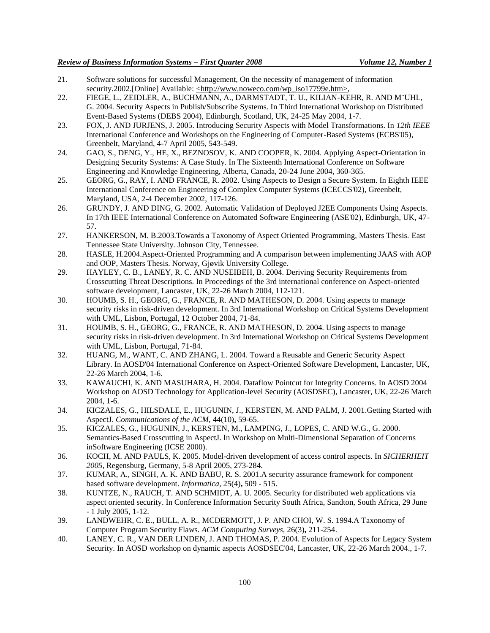- 21. Software solutions for successful Management, On the necessity of management of information security.2002.[Online] Available: <http://www.noweco.com/wp\_iso17799e.htm>,
- 22. FIEGE, L., ZEIDLER, A., BUCHMANN, A., DARMSTADT, T. U., KILIAN-KEHR, R. AND M¨UHL, G. 2004. Security Aspects in Publish/Subscribe Systems. In Third International Workshop on Distributed Event-Based Systems (DEBS 2004), Edinburgh, Scotland, UK, 24-25 May 2004, 1-7.
- 23. FOX, J. AND JURJENS, J. 2005. Introducing Security Aspects with Model Transformations. In *12th IEEE*  International Conference and Workshops on the Engineering of Computer-Based Systems (ECBS'05), Greenbelt, Maryland, 4-7 April 2005, 543-549.
- 24. GAO, S., DENG, Y., HE, X., BEZNOSOV, K. AND COOPER, K. 2004. Applying Aspect-Orientation in Designing Security Systems: A Case Study. In The Sixteenth International Conference on Software Engineering and Knowledge Engineering, Alberta, Canada, 20-24 June 2004, 360-365.
- 25. GEORG, G., RAY, I. AND FRANCE, R. 2002. Using Aspects to Design a Secure System. In Eighth IEEE International Conference on Engineering of Complex Computer Systems (ICECCS'02), Greenbelt, Maryland, USA, 2-4 December 2002, 117-126.
- 26. GRUNDY, J. AND DING, G. 2002. Automatic Validation of Deployed J2EE Components Using Aspects. In 17th IEEE International Conference on Automated Software Engineering (ASE'02), Edinburgh, UK, 47- 57.
- 27. HANKERSON, M. B.2003.Towards a Taxonomy of Aspect Oriented Programming, Masters Thesis. East Tennessee State University. Johnson City, Tennessee.
- 28. HASLE, H.2004.Aspect-Oriented Programming and A comparison between implementing JAAS with AOP and OOP, Masters Thesis. Norway, Gjøvik University College.
- 29. HAYLEY, C. B., LANEY, R. C. AND NUSEIBEH, B. 2004. Deriving Security Requirements from Crosscutting Threat Descriptions. In Proceedings of the 3rd international conference on Aspect-oriented software development, Lancaster, UK, 22-26 March 2004, 112-121.
- 30. HOUMB, S. H., GEORG, G., FRANCE, R. AND MATHESON, D. 2004. Using aspects to manage security risks in risk-driven development. In 3rd International Workshop on Critical Systems Development with UML, Lisbon, Portugal, 12 October 2004, 71-84.
- 31. HOUMB, S. H., GEORG, G., FRANCE, R. AND MATHESON, D. 2004. Using aspects to manage security risks in risk-driven development. In 3rd International Workshop on Critical Systems Development with UML, Lisbon, Portugal, 71-84.
- 32. HUANG, M., WANT, C. AND ZHANG, L. 2004. Toward a Reusable and Generic Security Aspect Library. In AOSD'04 International Conference on Aspect-Oriented Software Development, Lancaster, UK, 22-26 March 2004, 1-6.
- 33. KAWAUCHI, K. AND MASUHARA, H. 2004. Dataflow Pointcut for Integrity Concerns. In AOSD 2004 Workshop on AOSD Technology for Application-level Security (AOSDSEC), Lancaster, UK, 22-26 March 2004, 1-6.
- 34. KICZALES, G., HILSDALE, E., HUGUNIN, J., KERSTEN, M. AND PALM, J. 2001.Getting Started with AspectJ. *Communications of the ACM,* 44(10)**,** 59-65.
- 35. KICZALES, G., HUGUNIN, J., KERSTEN, M., LAMPING, J., LOPES, C. AND W.G., G. 2000. Semantics-Based Crosscutting in AspectJ. In Workshop on Multi-Dimensional Separation of Concerns inSoftware Engineering (ICSE 2000).
- 36. KOCH, M. AND PAULS, K. 2005. Model-driven development of access control aspects. In *SICHERHEIT 2005*, Regensburg, Germany, 5-8 April 2005, 273-284.
- 37. KUMAR, A., SINGH, A. K. AND BABU, R. S. 2001.A security assurance framework for component based software development. *Informatica,* 25(4)**,** 509 - 515.
- 38. KUNTZE, N., RAUCH, T. AND SCHMIDT, A. U. 2005. Security for distributed web applications via aspect oriented security. In Conference Information Security South Africa, Sandton, South Africa, 29 June - 1 July 2005, 1-12.
- 39. LANDWEHR, C. E., BULL, A. R., MCDERMOTT, J. P. AND CHOI, W. S. 1994.A Taxonomy of Computer Program Security Flaws. *ACM Computing Surveys,* 26(3)**,** 211-254.
- 40. LANEY, C. R., VAN DER LINDEN, J. AND THOMAS, P. 2004. Evolution of Aspects for Legacy System Security. In AOSD workshop on dynamic aspects AOSDSEC'04, Lancaster, UK, 22-26 March 2004., 1-7.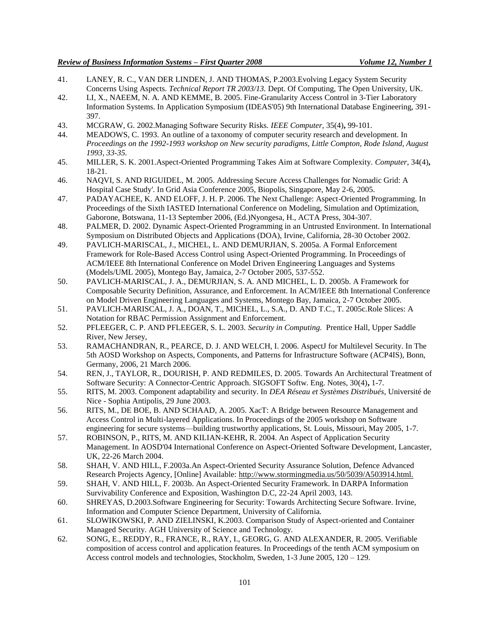- 41. LANEY, R. C., VAN DER LINDEN, J. AND THOMAS, P.2003.Evolving Legacy System Security Concerns Using Aspects. *Technical Report TR 2003/13.* Dept. Of Computing, The Open University, UK.
- 42. LI, X., NAEEM, N. A. AND KEMME, B. 2005. Fine-Granularity Access Control in 3-Tier Laboratory Information Systems. In Application Symposium (IDEAS'05) 9th International Database Engineering, 391- 397.
- 43. MCGRAW, G. 2002.Managing Software Security Risks. *IEEE Computer,* 35(4)**,** 99-101.
- 44. MEADOWS, C. 1993. An outline of a taxonomy of computer security research and development. In *Proceedings on the 1992-1993 workshop on New security paradigms, Little Compton, Rode Island, August 1993, 33-35.*
- 45. MILLER, S. K. 2001.Aspect-Oriented Programming Takes Aim at Software Complexity. *Computer,* 34(4)**,** 18-21.
- 46. NAQVI, S. AND RIGUIDEL, M. 2005. Addressing Secure Access Challenges for Nomadic Grid: A Hospital Case Study'. In Grid Asia Conference 2005, Biopolis, Singapore, May 2-6, 2005.
- 47. PADAYACHEE, K. AND ELOFF, J. H. P. 2006. The Next Challenge: Aspect-Oriented Programming. In Proceedings of the Sixth IASTED International Conference on Modeling, Simulation and Optimization, Gaborone, Botswana, 11-13 September 2006, (Ed.)Nyongesa, H., ACTA Press, 304-307.
- 48. PALMER, D. 2002. Dynamic Aspect-Oriented Programming in an Untrusted Environment. In International Symposium on Distributed Objects and Applications (DOA), Irvine, California, 28-30 October 2002.
- 49. PAVLICH-MARISCAL, J., MICHEL, L. AND DEMURJIAN, S. 2005a. A Formal Enforcement Framework for Role-Based Access Control using Aspect-Oriented Programming. In Proceedings of ACM/IEEE 8th International Conference on Model Driven Engineering Languages and Systems (Models/UML 2005), Montego Bay, Jamaica, 2-7 October 2005, 537-552.
- 50. PAVLICH-MARISCAL, J. A., DEMURJIAN, S. A. AND MICHEL, L. D. 2005b. A Framework for Composable Security Definition, Assurance, and Enforcement. In ACM/IEEE 8th International Conference on Model Driven Engineering Languages and Systems, Montego Bay, Jamaica, 2-7 October 2005.
- 51. PAVLICH-MARISCAL, J. A., DOAN, T., MICHEL, L., S.A., D. AND T.C., T. 2005c.Role Slices: A Notation for RBAC Permission Assignment and Enforcement.
- 52. PFLEEGER, C. P. AND PFLEEGER, S. L. 2003. *Security in Computing.* Prentice Hall, Upper Saddle River, New Jersey,
- 53. RAMACHANDRAN, R., PEARCE, D. J. AND WELCH, I. 2006. AspectJ for Multilevel Security. In The 5th AOSD Workshop on Aspects, Components, and Patterns for Infrastructure Software (ACP4IS), Bonn, Germany, 2006, 21 March 2006.
- 54. REN, J., TAYLOR, R., DOURISH, P. AND REDMILES, D. 2005. Towards An Architectural Treatment of Software Security: A Connector-Centric Approach. SIGSOFT Softw. Eng. Notes, 30(4)**,** 1-7.
- 55. RITS, M. 2003. Component adaptability and security. In *DEA Réseau et Systèmes Distribués*, Université de Nice - Sophia Antipolis, 29 June 2003.
- 56. RITS, M., DE BOE, B. AND SCHAAD, A. 2005. XacT: A Bridge between Resource Management and Access Control in Multi-layered Applications. In Proceedings of the 2005 workshop on Software engineering for secure systems—building trustworthy applications, St. Louis, Missouri, May 2005, 1-7.
- 57. ROBINSON, P., RITS, M. AND KILIAN-KEHR, R. 2004. An Aspect of Application Security Management. In AOSD'04 International Conference on Aspect-Oriented Software Development, Lancaster, UK, 22-26 March 2004.
- 58. SHAH, V. AND HILL, F.2003a.An Aspect-Oriented Security Assurance Solution, Defence Advanced Research Projects Agency, [Online] Available: http://www.stormingmedia.us/50/5039/A503914.html.
- 59. SHAH, V. AND HILL, F. 2003b. An Aspect-Oriented Security Framework. In DARPA Information Survivability Conference and Exposition, Washington D.C, 22-24 April 2003, 143.
- 60. SHREYAS, D.2003.Software Engineering for Security: Towards Architecting Secure Software. Irvine, Information and Computer Science Department, University of California.
- 61. SLOWIKOWSKI, P. AND ZIELINSKI, K.2003. Comparison Study of Aspect-oriented and Container Managed Security. AGH University of Science and Technology.
- 62. SONG, E., REDDY, R., FRANCE, R., RAY, I., GEORG, G. AND ALEXANDER, R. 2005. Verifiable composition of access control and application features. In Proceedings of the tenth ACM symposium on Access control models and technologies, Stockholm, Sweden, 1-3 June 2005, 120 – 129.